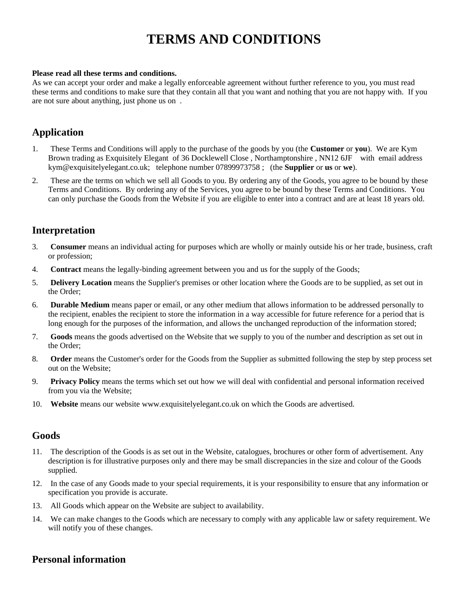# **TERMS AND CONDITIONS**

#### **Please read all these terms and conditions.**

As we can accept your order and make a legally enforceable agreement without further reference to you, you must read these terms and conditions to make sure that they contain all that you want and nothing that you are not happy with. If you are not sure about anything, just phone us on .

### **Application**

- 1. These Terms and Conditions will apply to the purchase of the goods by you (the **Customer** or **you**). We are Kym Brown trading as Exquisitely Elegant of 36 Docklewell Close , Northamptonshire , NN12 6JF with email address kym@exquisitelyelegant.co.uk; telephone number 07899973758 ; (the **Supplier** or **us** or **we**).
- 2. These are the terms on which we sell all Goods to you. By ordering any of the Goods, you agree to be bound by these Terms and Conditions. By ordering any of the Services, you agree to be bound by these Terms and Conditions. You can only purchase the Goods from the Website if you are eligible to enter into a contract and are at least 18 years old.

### **Interpretation**

- 3. **Consumer** means an individual acting for purposes which are wholly or mainly outside his or her trade, business, craft or profession;
- 4. **Contract** means the legally-binding agreement between you and us for the supply of the Goods;
- 5. **Delivery Location** means the Supplier's premises or other location where the Goods are to be supplied, as set out in the Order;
- 6. **Durable Medium** means paper or email, or any other medium that allows information to be addressed personally to the recipient, enables the recipient to store the information in a way accessible for future reference for a period that is long enough for the purposes of the information, and allows the unchanged reproduction of the information stored;
- 7. **Goods** means the goods advertised on the Website that we supply to you of the number and description as set out in the Order;
- 8. **Order** means the Customer's order for the Goods from the Supplier as submitted following the step by step process set out on the Website;
- 9. **Privacy Policy** means the terms which set out how we will deal with confidential and personal information received from you via the Website;
- 10. **Website** means our website www.exquisitelyelegant.co.uk on which the Goods are advertised.

### **Goods**

- 11. The description of the Goods is as set out in the Website, catalogues, brochures or other form of advertisement. Any description is for illustrative purposes only and there may be small discrepancies in the size and colour of the Goods supplied.
- 12. In the case of any Goods made to your special requirements, it is your responsibility to ensure that any information or specification you provide is accurate.
- 13. All Goods which appear on the Website are subject to availability.
- 14. We can make changes to the Goods which are necessary to comply with any applicable law or safety requirement. We will notify you of these changes.

### **Personal information**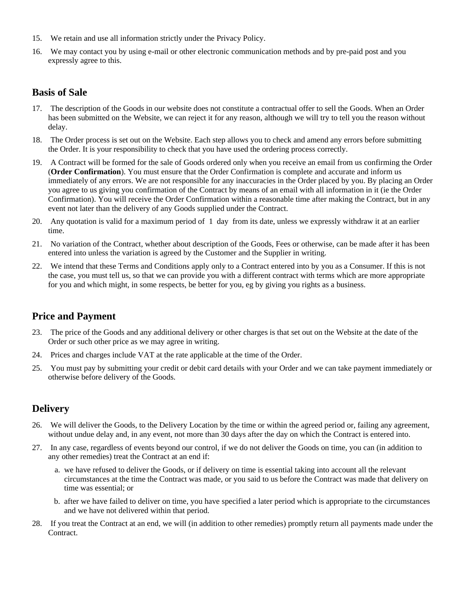- 15. We retain and use all information strictly under the Privacy Policy.
- 16. We may contact you by using e-mail or other electronic communication methods and by pre-paid post and you expressly agree to this.

### **Basis of Sale**

- 17. The description of the Goods in our website does not constitute a contractual offer to sell the Goods. When an Order has been submitted on the Website, we can reject it for any reason, although we will try to tell you the reason without delay.
- 18. The Order process is set out on the Website. Each step allows you to check and amend any errors before submitting the Order. It is your responsibility to check that you have used the ordering process correctly.
- 19. A Contract will be formed for the sale of Goods ordered only when you receive an email from us confirming the Order (**Order Confirmation**). You must ensure that the Order Confirmation is complete and accurate and inform us immediately of any errors. We are not responsible for any inaccuracies in the Order placed by you. By placing an Order you agree to us giving you confirmation of the Contract by means of an email with all information in it (ie the Order Confirmation). You will receive the Order Confirmation within a reasonable time after making the Contract, but in any event not later than the delivery of any Goods supplied under the Contract.
- 20. Any quotation is valid for a maximum period of 1 day from its date, unless we expressly withdraw it at an earlier time.
- 21. No variation of the Contract, whether about description of the Goods, Fees or otherwise, can be made after it has been entered into unless the variation is agreed by the Customer and the Supplier in writing.
- 22. We intend that these Terms and Conditions apply only to a Contract entered into by you as a Consumer. If this is not the case, you must tell us, so that we can provide you with a different contract with terms which are more appropriate for you and which might, in some respects, be better for you, eg by giving you rights as a business.

# **Price and Payment**

- 23. The price of the Goods and any additional delivery or other charges is that set out on the Website at the date of the Order or such other price as we may agree in writing.
- 24. Prices and charges include VAT at the rate applicable at the time of the Order.
- 25. You must pay by submitting your credit or debit card details with your Order and we can take payment immediately or otherwise before delivery of the Goods.

# **Delivery**

- 26. We will deliver the Goods, to the Delivery Location by the time or within the agreed period or, failing any agreement, without undue delay and, in any event, not more than 30 days after the day on which the Contract is entered into.
- 27. In any case, regardless of events beyond our control, if we do not deliver the Goods on time, you can (in addition to any other remedies) treat the Contract at an end if:
	- a. we have refused to deliver the Goods, or if delivery on time is essential taking into account all the relevant circumstances at the time the Contract was made, or you said to us before the Contract was made that delivery on time was essential; or
	- b. after we have failed to deliver on time, you have specified a later period which is appropriate to the circumstances and we have not delivered within that period.
- 28. If you treat the Contract at an end, we will (in addition to other remedies) promptly return all payments made under the Contract.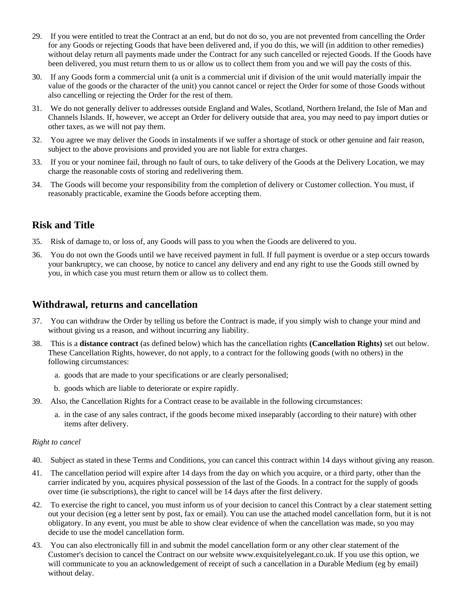- 29. If you were entitled to treat the Contract at an end, but do not do so, you are not prevented from cancelling the Order for any Goods or rejecting Goods that have been delivered and, if you do this, we will (in addition to other remedies) without delay return all payments made under the Contract for any such cancelled or rejected Goods. If the Goods have been delivered, you must return them to us or allow us to collect them from you and we will pay the costs of this.
- 30. If any Goods form a commercial unit (a unit is a commercial unit if division of the unit would materially impair the value of the goods or the character of the unit) you cannot cancel or reject the Order for some of those Goods without also cancelling or rejecting the Order for the rest of them.
- 31. We do not generally deliver to addresses outside England and Wales, Scotland, Northern Ireland, the Isle of Man and Channels Islands. If, however, we accept an Order for delivery outside that area, you may need to pay import duties or other taxes, as we will not pay them.
- 32. You agree we may deliver the Goods in instalments if we suffer a shortage of stock or other genuine and fair reason, subject to the above provisions and provided you are not liable for extra charges.
- 33. If you or your nominee fail, through no fault of ours, to take delivery of the Goods at the Delivery Location, we may charge the reasonable costs of storing and redelivering them.
- 34. The Goods will become your responsibility from the completion of delivery or Customer collection. You must, if reasonably practicable, examine the Goods before accepting them.

# **Risk and Title**

- 35. Risk of damage to, or loss of, any Goods will pass to you when the Goods are delivered to you.
- 36. You do not own the Goods until we have received payment in full. If full payment is overdue or a step occurs towards your bankruptcy, we can choose, by notice to cancel any delivery and end any right to use the Goods still owned by you, in which case you must return them or allow us to collect them.

### **Withdrawal, returns and cancellation**

- 37. You can withdraw the Order by telling us before the Contract is made, if you simply wish to change your mind and without giving us a reason, and without incurring any liability.
- 38. This is a **distance contract** (as defined below) which has the cancellation rights **(Cancellation Rights)** set out below. These Cancellation Rights, however, do not apply, to a contract for the following goods (with no others) in the following circumstances:
	- a. goods that are made to your specifications or are clearly personalised;
	- b. goods which are liable to deteriorate or expire rapidly.
- 39. Also, the Cancellation Rights for a Contract cease to be available in the following circumstances:
	- a. in the case of any sales contract, if the goods become mixed inseparably (according to their nature) with other items after delivery.

#### *Right to cancel*

- 40. Subject as stated in these Terms and Conditions, you can cancel this contract within 14 days without giving any reason.
- 41. The cancellation period will expire after 14 days from the day on which you acquire, or a third party, other than the carrier indicated by you, acquires physical possession of the last of the Goods. In a contract for the supply of goods over time (ie subscriptions), the right to cancel will be 14 days after the first delivery.
- 42. To exercise the right to cancel, you must inform us of your decision to cancel this Contract by a clear statement setting out your decision (eg a letter sent by post, fax or email). You can use the attached model cancellation form, but it is not obligatory. In any event, you must be able to show clear evidence of when the cancellation was made, so you may decide to use the model cancellation form.
- 43. You can also electronically fill in and submit the model cancellation form or any other clear statement of the Customer's decision to cancel the Contract on our website www.exquisitelyelegant.co.uk. If you use this option, we will communicate to you an acknowledgement of receipt of such a cancellation in a Durable Medium (eg by email) without delay.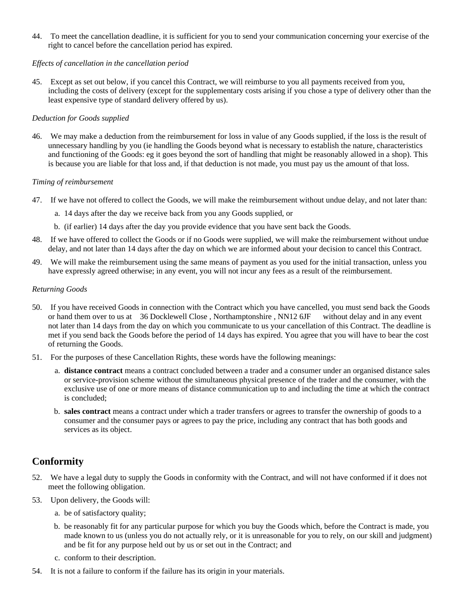44. To meet the cancellation deadline, it is sufficient for you to send your communication concerning your exercise of the right to cancel before the cancellation period has expired.

#### *Effects of cancellation in the cancellation period*

45. Except as set out below, if you cancel this Contract, we will reimburse to you all payments received from you, including the costs of delivery (except for the supplementary costs arising if you chose a type of delivery other than the least expensive type of standard delivery offered by us).

#### *Deduction for Goods supplied*

46. We may make a deduction from the reimbursement for loss in value of any Goods supplied, if the loss is the result of unnecessary handling by you (ie handling the Goods beyond what is necessary to establish the nature, characteristics and functioning of the Goods: eg it goes beyond the sort of handling that might be reasonably allowed in a shop). This is because you are liable for that loss and, if that deduction is not made, you must pay us the amount of that loss.

#### *Timing of reimbursement*

- 47. If we have not offered to collect the Goods, we will make the reimbursement without undue delay, and not later than:
	- a. 14 days after the day we receive back from you any Goods supplied, or
	- b. (if earlier) 14 days after the day you provide evidence that you have sent back the Goods.
- 48. If we have offered to collect the Goods or if no Goods were supplied, we will make the reimbursement without undue delay, and not later than 14 days after the day on which we are informed about your decision to cancel this Contract.
- 49. We will make the reimbursement using the same means of payment as you used for the initial transaction, unless you have expressly agreed otherwise; in any event, you will not incur any fees as a result of the reimbursement.

#### *Returning Goods*

- 50. If you have received Goods in connection with the Contract which you have cancelled, you must send back the Goods or hand them over to us at 36 Docklewell Close , Northamptonshire , NN12 6JF without delay and in any event not later than 14 days from the day on which you communicate to us your cancellation of this Contract. The deadline is met if you send back the Goods before the period of 14 days has expired. You agree that you will have to bear the cost of returning the Goods.
- 51. For the purposes of these Cancellation Rights, these words have the following meanings:
	- a. **distance contract** means a contract concluded between a trader and a consumer under an organised distance sales or service-provision scheme without the simultaneous physical presence of the trader and the consumer, with the exclusive use of one or more means of distance communication up to and including the time at which the contract is concluded;
	- b. **sales contract** means a contract under which a trader transfers or agrees to transfer the ownership of goods to a consumer and the consumer pays or agrees to pay the price, including any contract that has both goods and services as its object.

# **Conformity**

- 52. We have a legal duty to supply the Goods in conformity with the Contract, and will not have conformed if it does not meet the following obligation.
- 53. Upon delivery, the Goods will:
	- a. be of satisfactory quality;
	- b. be reasonably fit for any particular purpose for which you buy the Goods which, before the Contract is made, you made known to us (unless you do not actually rely, or it is unreasonable for you to rely, on our skill and judgment) and be fit for any purpose held out by us or set out in the Contract; and
	- c. conform to their description.
- 54. It is not a failure to conform if the failure has its origin in your materials.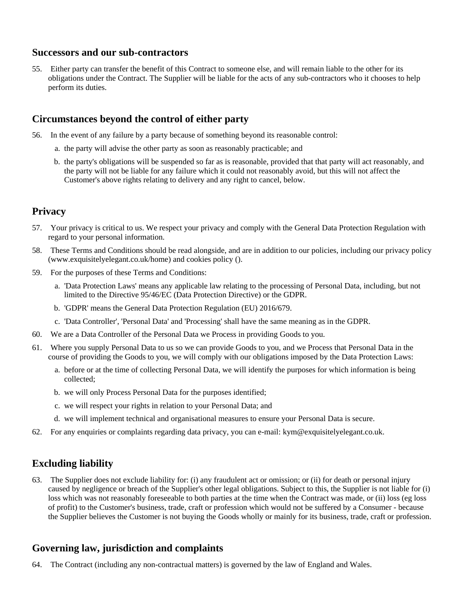### **Successors and our sub-contractors**

55. Either party can transfer the benefit of this Contract to someone else, and will remain liable to the other for its obligations under the Contract. The Supplier will be liable for the acts of any sub-contractors who it chooses to help perform its duties.

# **Circumstances beyond the control of either party**

- 56. In the event of any failure by a party because of something beyond its reasonable control:
	- a. the party will advise the other party as soon as reasonably practicable; and
	- b. the party's obligations will be suspended so far as is reasonable, provided that that party will act reasonably, and the party will not be liable for any failure which it could not reasonably avoid, but this will not affect the Customer's above rights relating to delivery and any right to cancel, below.

# **Privacy**

- 57. Your privacy is critical to us. We respect your privacy and comply with the General Data Protection Regulation with regard to your personal information.
- 58. These Terms and Conditions should be read alongside, and are in addition to our policies, including our privacy policy (www.exquisitelyelegant.co.uk/home) and cookies policy ().
- 59. For the purposes of these Terms and Conditions:
	- a. 'Data Protection Laws' means any applicable law relating to the processing of Personal Data, including, but not limited to the Directive 95/46/EC (Data Protection Directive) or the GDPR.
	- b. 'GDPR' means the General Data Protection Regulation (EU) 2016/679.
	- c. 'Data Controller', 'Personal Data' and 'Processing' shall have the same meaning as in the GDPR.
- 60. We are a Data Controller of the Personal Data we Process in providing Goods to you.
- 61. Where you supply Personal Data to us so we can provide Goods to you, and we Process that Personal Data in the course of providing the Goods to you, we will comply with our obligations imposed by the Data Protection Laws:
	- a. before or at the time of collecting Personal Data, we will identify the purposes for which information is being collected;
	- b. we will only Process Personal Data for the purposes identified;
	- c. we will respect your rights in relation to your Personal Data; and
	- d. we will implement technical and organisational measures to ensure your Personal Data is secure.
- 62. For any enquiries or complaints regarding data privacy, you can e-mail:  $kvm@exquistelvelegant.co.uk$ .

# **Excluding liability**

63. The Supplier does not exclude liability for: (i) any fraudulent act or omission; or (ii) for death or personal injury caused by negligence or breach of the Supplier's other legal obligations. Subject to this, the Supplier is not liable for (i) loss which was not reasonably foreseeable to both parties at the time when the Contract was made, or (ii) loss (eg loss of profit) to the Customer's business, trade, craft or profession which would not be suffered by a Consumer - because the Supplier believes the Customer is not buying the Goods wholly or mainly for its business, trade, craft or profession.

# **Governing law, jurisdiction and complaints**

64. The Contract (including any non-contractual matters) is governed by the law of England and Wales.